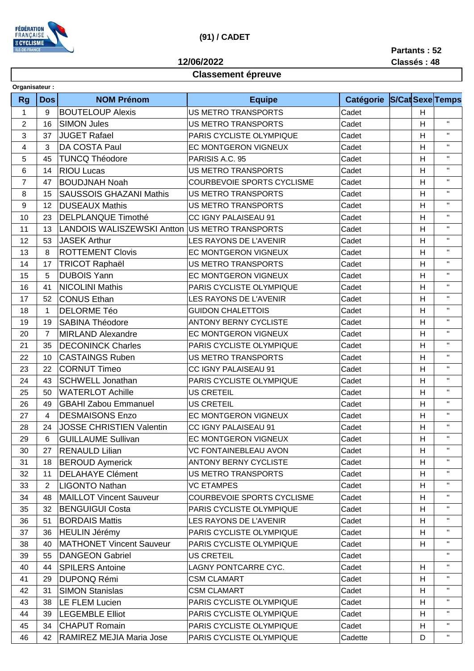

## **(91) / CADET**

**12/06/2022**

## **Partants : 52**

**Classement épreuve**

**Classés : 48**

| Organisateur:  |                |                                   |                                   |                            |   |              |
|----------------|----------------|-----------------------------------|-----------------------------------|----------------------------|---|--------------|
| <b>Rg</b>      | <b>Dos</b>     | <b>NOM Prénom</b>                 | <b>Equipe</b>                     | Catégorie S/Cat Sexe Temps |   |              |
| 1              | $9\,$          | <b>BOUTELOUP Alexis</b>           | <b>US METRO TRANSPORTS</b>        | Cadet                      | H |              |
| $\overline{2}$ | 16             | <b>SIMON Jules</b>                | US METRO TRANSPORTS               | Cadet                      | H | $\mathbf{H}$ |
| 3              | 37             | <b>JUGET Rafael</b>               | PARIS CYCLISTE OLYMPIQUE          | Cadet                      | H | $\mathbf{H}$ |
| 4              | 3              | DA COSTA Paul                     | EC MONTGERON VIGNEUX              | Cadet                      | H | $\mathbf{H}$ |
| 5              | 45             | <b>TUNCQ Théodore</b>             | PARISIS A.C. 95                   | Cadet                      | H | $\mathbf{H}$ |
| 6              | 14             | <b>RIOU Lucas</b>                 | <b>US METRO TRANSPORTS</b>        | Cadet                      | H | $\mathbf{H}$ |
| $\overline{7}$ | 47             | <b>BOUDJNAH Noah</b>              | <b>COURBEVOIE SPORTS CYCLISME</b> | Cadet                      | H | $\mathbf{H}$ |
| 8              | 15             | <b>SAUSSOIS GHAZANI Mathis</b>    | <b>US METRO TRANSPORTS</b>        | Cadet                      | H | $\mathbf{H}$ |
| 9              | 12             | <b>DUSEAUX Mathis</b>             | <b>US METRO TRANSPORTS</b>        | Cadet                      | H | $\mathbf{H}$ |
| 10             | 23             | <b>DELPLANQUE Timothé</b>         | CC IGNY PALAISEAU 91              | Cadet                      | H | $\mathbf{H}$ |
| 11             | 13             | <b>LANDOIS WALISZEWSKI Antton</b> | US METRO TRANSPORTS               | Cadet                      | H | $\mathbf{H}$ |
| 12             | 53             | <b>JASEK Arthur</b>               | LES RAYONS DE L'AVENIR            | Cadet                      | H | $\mathbf{H}$ |
| 13             | 8              | <b>ROTTEMENT Clovis</b>           | <b>EC MONTGERON VIGNEUX</b>       | Cadet                      | H | $\mathbf{H}$ |
| 14             | 17             | <b>TRICOT Raphaël</b>             | <b>US METRO TRANSPORTS</b>        | Cadet                      | H | $\mathbf{H}$ |
| 15             | 5              | <b>DUBOIS Yann</b>                | <b>EC MONTGERON VIGNEUX</b>       | Cadet                      | H | $\mathbf{H}$ |
| 16             | 41             | <b>NICOLINI Mathis</b>            | PARIS CYCLISTE OLYMPIQUE          | Cadet                      | H | $\mathbf{H}$ |
| 17             | 52             | <b>CONUS Ethan</b>                | <b>LES RAYONS DE L'AVENIR</b>     | Cadet                      | H | $\mathbf{H}$ |
| 18             | $\mathbf 1$    | <b>DELORME Téo</b>                | <b>GUIDON CHALETTOIS</b>          | Cadet                      | H | $\mathbf{H}$ |
| 19             | 19             | <b>SABINA Théodore</b>            | ANTONY BERNY CYCLISTE             | Cadet                      | H | $\mathbf{H}$ |
| 20             | $\overline{7}$ | <b>MIRLAND Alexandre</b>          | EC MONTGERON VIGNEUX              | Cadet                      | H | $\mathbf{H}$ |
| 21             | 35             | <b>DECONINCK Charles</b>          | PARIS CYCLISTE OLYMPIQUE          | Cadet                      | H | $\mathbf{H}$ |
| 22             | 10             | <b>CASTAINGS Ruben</b>            | <b>US METRO TRANSPORTS</b>        | Cadet                      | H | $\mathbf{H}$ |
| 23             | 22             | <b>CORNUT Timeo</b>               | CC IGNY PALAISEAU 91              | Cadet                      | H | $\mathbf{H}$ |
| 24             | 43             | <b>SCHWELL Jonathan</b>           | PARIS CYCLISTE OLYMPIQUE          | Cadet                      | H | $\mathbf{H}$ |
| 25             | 50             | <b>WATERLOT Achille</b>           | <b>US CRETEIL</b>                 | Cadet                      | H | $\mathbf{H}$ |
| 26             | 49             | <b>GBAHI Zabou Emmanuel</b>       | <b>US CRETEIL</b>                 | Cadet                      | H | $\mathbf{H}$ |
| 27             | 4              | <b>DESMAISONS Enzo</b>            | EC MONTGERON VIGNEUX              | Cadet                      | H | $\mathbf{H}$ |
| 28             | 24             | <b>JOSSE CHRISTIEN Valentin</b>   | CC IGNY PALAISEAU 91              | Cadet                      | H | $\mathbf{H}$ |
| 29             | 6              | <b>GUILLAUME Sullivan</b>         | EC MONTGERON VIGNEUX              | Cadet                      | H | $\mathbf{H}$ |
| 30             | 27             | <b>RENAULD Lilian</b>             | <b>VC FONTAINEBLEAU AVON</b>      | Cadet                      | H | $\mathbf{H}$ |
| 31             | 18             | <b>BEROUD Aymerick</b>            | <b>ANTONY BERNY CYCLISTE</b>      | Cadet                      | H | $\mathbf{H}$ |
| 32             | 11             | <b>DELAHAYE Clément</b>           | US METRO TRANSPORTS               | Cadet                      | H | $\mathbf{H}$ |
| 33             | $\overline{2}$ | <b>LIGONTO Nathan</b>             | <b>VC ETAMPES</b>                 | Cadet                      | H | $\mathbf{H}$ |
| 34             | 48             | <b>MAILLOT Vincent Sauveur</b>    | COURBEVOIE SPORTS CYCLISME        | Cadet                      | H |              |
| 35             | 32             | <b>BENGUIGUI Costa</b>            | PARIS CYCLISTE OLYMPIQUE          | Cadet                      | H | $\mathbf{H}$ |
| 36             | 51             | <b>BORDAIS Mattis</b>             | LES RAYONS DE L'AVENIR            | Cadet                      | H | $\mathbf{H}$ |
| 37             | 36             | <b>HEULIN Jérémy</b>              | PARIS CYCLISTE OLYMPIQUE          | Cadet                      | H | $\mathbf H$  |
| 38             | 40             | <b>MATHONET Vincent Sauveur</b>   | PARIS CYCLISTE OLYMPIQUE          | Cadet                      | H | $\mathbf H$  |
| 39             | 55             | <b>DANGEON Gabriel</b>            | US CRETEIL                        | Cadet                      |   | $\mathbf{H}$ |
| 40             | 44             | <b>SPILERS Antoine</b>            | LAGNY PONTCARRE CYC.              | Cadet                      | H | $\mathbf{H}$ |
| 41             | 29             | <b>DUPONQ Rémi</b>                | <b>CSM CLAMART</b>                | Cadet                      | H | $\mathbf{H}$ |
| 42             | 31             | <b>SIMON Stanislas</b>            | <b>CSM CLAMART</b>                | Cadet                      | H | $\mathbf{H}$ |
| 43             | 38             | <b>LE FLEM Lucien</b>             | PARIS CYCLISTE OLYMPIQUE          | Cadet                      | H |              |
| 44             | 39             | <b>LEGEMBLE Elliot</b>            | PARIS CYCLISTE OLYMPIQUE          | Cadet                      | H | $\mathbf{H}$ |
| 45             | 34             | <b>CHAPUT Romain</b>              | PARIS CYCLISTE OLYMPIQUE          | Cadet                      | H | $\mathbf{H}$ |
| 46             | 42             | RAMIREZ MEJIA Maria Jose          | PARIS CYCLISTE OLYMPIQUE          | Cadette                    | D | $\mathbf H$  |
|                |                |                                   |                                   |                            |   |              |